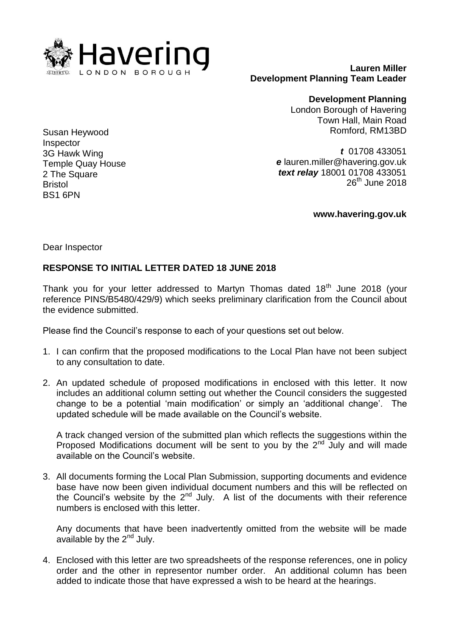

**Lauren Miller Development Planning Team Leader**

> **Development Planning** London Borough of Havering Town Hall, Main Road Romford, RM13BD

*t* 01708 433051 *e* lauren.miller@havering.gov.uk *text relay* 18001 01708 433051  $26<sup>th</sup>$  June 2018

**www.havering.gov.uk**

Dear Inspector

## **RESPONSE TO INITIAL LETTER DATED 18 JUNE 2018**

Thank you for your letter addressed to Martyn Thomas dated  $18<sup>th</sup>$  June 2018 (your reference PINS/B5480/429/9) which seeks preliminary clarification from the Council about the evidence submitted.

Please find the Council's response to each of your questions set out below.

- 1. I can confirm that the proposed modifications to the Local Plan have not been subject to any consultation to date.
- 2. An updated schedule of proposed modifications in enclosed with this letter. It now includes an additional column setting out whether the Council considers the suggested change to be a potential 'main modification' or simply an 'additional change'. The updated schedule will be made available on the Council's website.

A track changed version of the submitted plan which reflects the suggestions within the Proposed Modifications document will be sent to you by the  $2^{nd}$  July and will made available on the Council's website.

3. All documents forming the Local Plan Submission, supporting documents and evidence base have now been given individual document numbers and this will be reflected on the Council's website by the  $2^{nd}$  July. A list of the documents with their reference numbers is enclosed with this letter.

Any documents that have been inadvertently omitted from the website will be made available by the  $2<sup>nd</sup>$  July.

4. Enclosed with this letter are two spreadsheets of the response references, one in policy order and the other in representor number order. An additional column has been added to indicate those that have expressed a wish to be heard at the hearings.

Susan Heywood Inspector 3G Hawk Wing Temple Quay House 2 The Square Bristol BS1 6PN